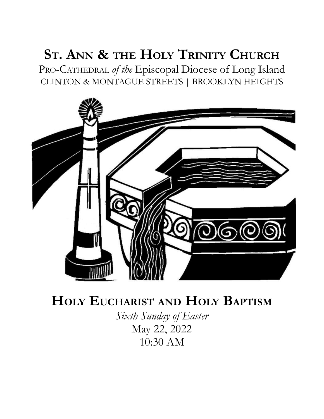# **ST. ANN & THE HOLY TRINITY CHURCH**

PRO-CATHEDRAL *of the* Episcopal Diocese of Long Island CLINTON & MONTAGUE STREETS | BROOKLYN HEIGHTS



# **HOLY EUCHARIST AND HOLY BAPTISM**

*Sixth Sunday of Easter* May 22, 2022 10:30 AM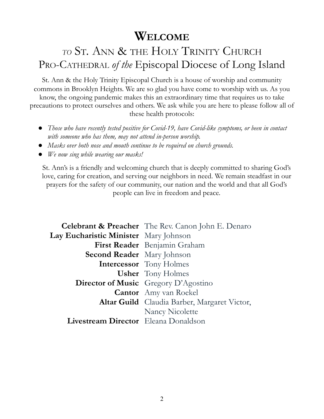## **WELCOME**

## *TO* ST. ANN & THE HOLY TRINITY CHURCH PRO-CATHEDRAL *of the* Episcopal Diocese of Long Island

St. Ann & the Holy Trinity Episcopal Church is a house of worship and community commons in Brooklyn Heights. We are so glad you have come to worship with us. As you know, the ongoing pandemic makes this an extraordinary time that requires us to take precautions to protect ourselves and others. We ask while you are here to please follow all of these health protocols:

- *● Those who have recently tested positive for Covid-19, have Covid-like symptoms, or been in contact with someone who has them, may not attend in-person worship.*
- *● Masks over both nose and mouth continue to be required on church grounds.*
- *● We now sing while wearing our masks!*

St. Ann's is a friendly and welcoming church that is deeply committed to sharing God's love, caring for creation, and serving our neighbors in need. We remain steadfast in our prayers for the safety of our community, our nation and the world and that all God's people can live in freedom and peace.

|                                       | <b>Celebrant &amp; Preacher</b> The Rev. Canon John E. Denaro |
|---------------------------------------|---------------------------------------------------------------|
| Lay Eucharistic Minister Mary Johnson |                                                               |
|                                       | First Reader Benjamin Graham                                  |
| <b>Second Reader</b> Mary Johnson     |                                                               |
|                                       | <b>Intercessor</b> Tony Holmes                                |
|                                       | <b>Usher</b> Tony Holmes                                      |
|                                       | <b>Director of Music</b> Gregory D'Agostino                   |
|                                       | <b>Cantor</b> Amy van Roekel                                  |
|                                       | <b>Altar Guild</b> Claudia Barber, Margaret Victor,           |
|                                       | <b>Nancy Nicolette</b>                                        |
| Livestream Director Eleana Donaldson  |                                                               |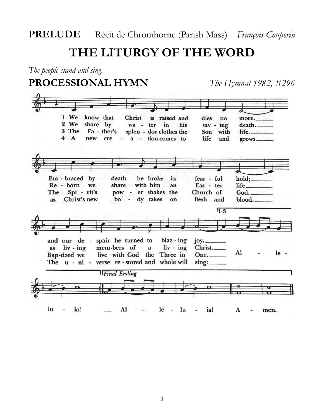**THE LITURGY OF THE WORD**

*The people stand and sing.*

#### **PROCESSIONAL HYMN** *The Hymnal 1982, #296*

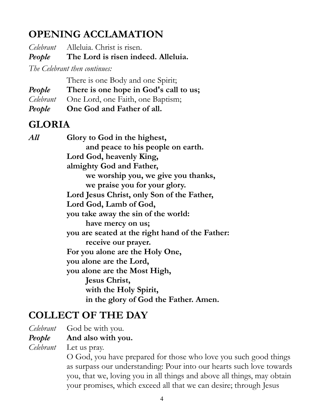## **OPENING ACCLAMATION**

*Celebrant* Alleluia. Christ is risen.

*People* **The Lord is risen indeed. Alleluia.**

*The Celebrant then continues:*

There is one Body and one Spirit;

*People* **There is one hope in God's call to us;**

*Celebrant* One Lord, one Faith, one Baptism;

*People* **One God and Father of all.**

### **GLORIA**

*All* **Glory to God in the highest, and peace to his people on earth. Lord God, heavenly King, almighty God and Father, we worship you, we give you thanks, we praise you for your glory. Lord Jesus Christ, only Son of the Father, Lord God, Lamb of God, you take away the sin of the world: have mercy on us; you are seated at the right hand of the Father: receive our prayer. For you alone are the Holy One, you alone are the Lord, you alone are the Most High, Jesus Christ, with the Holy Spirit, in the glory of God the Father. Amen.**

### **COLLECT OF THE DAY**

*Celebrant* God be with you.

#### *People* **And also with you.**

*Celebrant* Let us pray.

O God, you have prepared for those who love you such good things as surpass our understanding: Pour into our hearts such love towards you, that we, loving you in all things and above all things, may obtain your promises, which exceed all that we can desire; through Jesus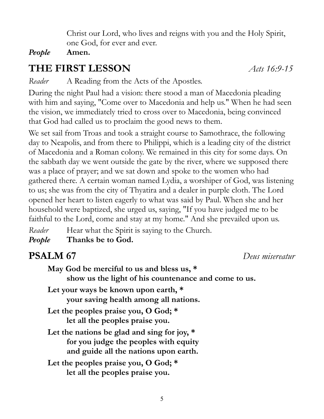Christ our Lord, who lives and reigns with you and the Holy Spirit, one God, for ever and ever.

#### *People* **Amen.**

### **THE FIRST LESSON** *Acts 16:9-15*

*Reader* A Reading from the Acts of the Apostles.

During the night Paul had a vision: there stood a man of Macedonia pleading with him and saying, "Come over to Macedonia and help us." When he had seen the vision, we immediately tried to cross over to Macedonia, being convinced that God had called us to proclaim the good news to them.

We set sail from Troas and took a straight course to Samothrace, the following day to Neapolis, and from there to Philippi, which is a leading city of the district of Macedonia and a Roman colony. We remained in this city for some days. On the sabbath day we went outside the gate by the river, where we supposed there was a place of prayer; and we sat down and spoke to the women who had gathered there. A certain woman named Lydia, a worshiper of God, was listening to us; she was from the city of Thyatira and a dealer in purple cloth. The Lord opened her heart to listen eagerly to what was said by Paul. When she and her household were baptized, she urged us, saying, "If you have judged me to be faithful to the Lord, come and stay at my home." And she prevailed upon us.

*Reader* Hear what the Spirit is saying to the Church. *People* **Thanks be to God.**

**PSALM 67** *Deus misereatur*

| May God be merciful to us and bless us, *<br>show us the light of his countenance and come to us.                               |
|---------------------------------------------------------------------------------------------------------------------------------|
| Let your ways be known upon earth, *<br>your saving health among all nations.                                                   |
| Let the peoples praise you, O God; $*$<br>let all the peoples praise you.                                                       |
| Let the nations be glad and sing for joy, $*$<br>for you judge the peoples with equity<br>and guide all the nations upon earth. |
| Let the peoples praise you, O God; $*$<br>let all the peoples praise you.                                                       |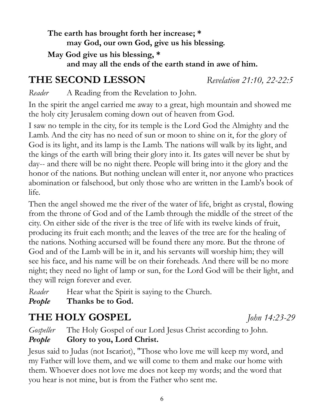**The earth has brought forth her increase; \* may God, our own God, give us his blessing. May God give us his blessing, \***

**and may all the ends of the earth stand in awe of him.**

## **THE SECOND LESSON** *Revelation 21:10, 22-22:5*

*Reader* A Reading from the Revelation to John.

In the spirit the angel carried me away to a great, high mountain and showed me the holy city Jerusalem coming down out of heaven from God.

I saw no temple in the city, for its temple is the Lord God the Almighty and the Lamb. And the city has no need of sun or moon to shine on it, for the glory of God is its light, and its lamp is the Lamb. The nations will walk by its light, and the kings of the earth will bring their glory into it. Its gates will never be shut by day-- and there will be no night there. People will bring into it the glory and the honor of the nations. But nothing unclean will enter it, nor anyone who practices abomination or falsehood, but only those who are written in the Lamb's book of life.

Then the angel showed me the river of the water of life, bright as crystal, flowing from the throne of God and of the Lamb through the middle of the street of the city. On either side of the river is the tree of life with its twelve kinds of fruit, producing its fruit each month; and the leaves of the tree are for the healing of the nations. Nothing accursed will be found there any more. But the throne of God and of the Lamb will be in it, and his servants will worship him; they will see his face, and his name will be on their foreheads. And there will be no more night; they need no light of lamp or sun, for the Lord God will be their light, and they will reign forever and ever.

*Reader* Hear what the Spirit is saying to the Church.

*People* **Thanks be to God.**

## **THE HOLY GOSPEL** *John 14:23-29*

*Gospeller* The Holy Gospel of our Lord Jesus Christ according to John.

#### *People* **Glory to you, Lord Christ.**

Jesus said to Judas (not Iscariot), "Those who love me will keep my word, and my Father will love them, and we will come to them and make our home with them. Whoever does not love me does not keep my words; and the word that you hear is not mine, but is from the Father who sent me.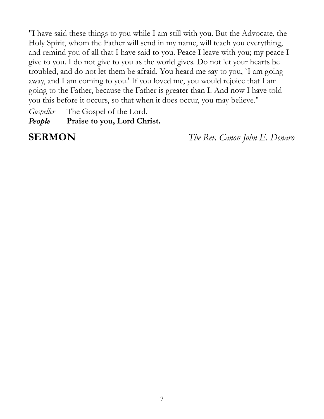"I have said these things to you while I am still with you. But the Advocate, the Holy Spirit, whom the Father will send in my name, will teach you everything, and remind you of all that I have said to you. Peace I leave with you; my peace I give to you. I do not give to you as the world gives. Do not let your hearts be troubled, and do not let them be afraid. You heard me say to you, `I am going away, and I am coming to you.' If you loved me, you would rejoice that I am going to the Father, because the Father is greater than I. And now I have told you this before it occurs, so that when it does occur, you may believe."

*Gospeller* The Gospel of the Lord. *People* **Praise to you, Lord Christ.**

**SERMON** *The Rev. Canon John E. Denaro*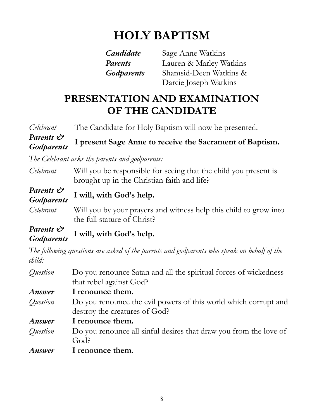# **HOLY BAPTISM**

| <b>Candidate</b> |   |
|------------------|---|
| Parents          | I |
| Godparents       | S |

*Candidate* Sage Anne Watkins Lauren & Marley Watkins *Godparents* Shamsid-Deen Watkins & Darcie Joseph Watkins

## **PRESENTATION AND EXAMINATION OF THE CANDIDATE**

| Celebrant               | The Candidate for Holy Baptism will now be presented.                                                           |
|-------------------------|-----------------------------------------------------------------------------------------------------------------|
| Parents &<br>Godparents | I present Sage Anne to receive the Sacrament of Baptism.                                                        |
|                         | The Celebrant asks the parents and godparents:                                                                  |
| Celebrant               | Will you be responsible for seeing that the child you present is<br>brought up in the Christian faith and life? |
| Parents &<br>Godparents | I will, with God's help.                                                                                        |
| Celebrant               | Will you by your prayers and witness help this child to grow into<br>the full stature of Christ?                |
| Parents &<br>Godparents | I will, with God's help.                                                                                        |
| child:                  | The following questions are asked of the parents and godparents who speak on behalf of the                      |
| Question                | Do you renounce Satan and all the spiritual forces of wickedness<br>that rebel against God?                     |
| Answer                  | I renounce them.                                                                                                |
| Question                | Do you renounce the evil powers of this world which corrupt and<br>destroy the creatures of God?                |
| Answer                  | I renounce them.                                                                                                |
| Question                | Do you renounce all sinful desires that draw you from the love of<br>God?                                       |
| <b>Answer</b>           | I renounce them.                                                                                                |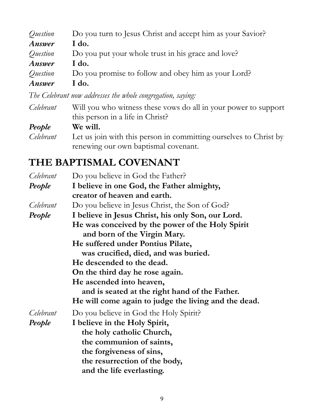| Question      | Do you turn to Jesus Christ and accept him as your Savior? |
|---------------|------------------------------------------------------------|
| Answer        | I do.                                                      |
| Question      | Do you put your whole trust in his grace and love?         |
| Answer        | I do.                                                      |
| Question      | Do you promise to follow and obey him as your Lord?        |
| <b>Answer</b> | I do.                                                      |

*The Celebrant now addresses the whole congregation, saying:*

| Celebrant | Will you who witness these vows do all in your power to support   |
|-----------|-------------------------------------------------------------------|
|           | this person in a life in Christ?                                  |
| People    | We will.                                                          |
| Celebrant | Let us join with this person in committing ourselves to Christ by |
|           | renewing our own baptismal covenant.                              |

## **THE BAPTISMAL COVENANT**

| Celebrant | Do you believe in God the Father?                    |
|-----------|------------------------------------------------------|
| People    | I believe in one God, the Father almighty,           |
|           | creator of heaven and earth.                         |
| Celebrant | Do you believe in Jesus Christ, the Son of God?      |
| People    | I believe in Jesus Christ, his only Son, our Lord.   |
|           | He was conceived by the power of the Holy Spirit     |
|           | and born of the Virgin Mary.                         |
|           | He suffered under Pontius Pilate,                    |
|           | was crucified, died, and was buried.                 |
|           | He descended to the dead.                            |
|           | On the third day he rose again.                      |
|           | He ascended into heaven,                             |
|           | and is seated at the right hand of the Father.       |
|           | He will come again to judge the living and the dead. |
| Celebrant | Do you believe in God the Holy Spirit?               |
| People    | I believe in the Holy Spirit,                        |
|           | the holy catholic Church,                            |
|           | the communion of saints,                             |
|           | the forgiveness of sins,                             |
|           | the resurrection of the body,                        |
|           | and the life everlasting.                            |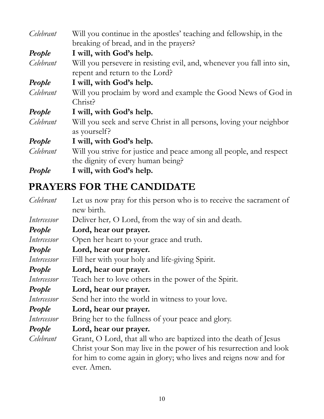| Celebrant | Will you continue in the apostles' teaching and fellowship, in the<br>breaking of bread, and in the prayers? |
|-----------|--------------------------------------------------------------------------------------------------------------|
| People    | I will, with God's help.                                                                                     |
| Celebrant | Will you persevere in resisting evil, and, whenever you fall into sin,<br>repent and return to the Lord?     |
| People    | I will, with God's help.                                                                                     |
| Celebrant | Will you proclaim by word and example the Good News of God in<br>Christ?                                     |
| People    | I will, with God's help.                                                                                     |
| Celebrant | Will you seek and serve Christ in all persons, loving your neighbor<br>as yourself?                          |
| People    | I will, with God's help.                                                                                     |
| Celebrant | Will you strive for justice and peace among all people, and respect<br>the dignity of every human being?     |
| People    | I will, with God's help.                                                                                     |

## **PRAYERS FOR THE CANDIDATE**

| Celebrant   | Let us now pray for this person who is to receive the sacrament of<br>new birth. |
|-------------|----------------------------------------------------------------------------------|
| Intercessor | Deliver her, O Lord, from the way of sin and death.                              |
| People      | Lord, hear our prayer.                                                           |
| Intercessor | Open her heart to your grace and truth.                                          |
| People      | Lord, hear our prayer.                                                           |
| Intercessor | Fill her with your holy and life-giving Spirit.                                  |
| People      | Lord, hear our prayer.                                                           |
| Intercessor | Teach her to love others in the power of the Spirit.                             |
| People      | Lord, hear our prayer.                                                           |
| Intercessor | Send her into the world in witness to your love.                                 |
| People      | Lord, hear our prayer.                                                           |
| Intercessor | Bring her to the fullness of your peace and glory.                               |
| People      | Lord, hear our prayer.                                                           |
| Celebrant   | Grant, O Lord, that all who are baptized into the death of Jesus                 |
|             | Christ your Son may live in the power of his resurrection and look               |
|             | for him to come again in glory; who lives and reigns now and for<br>ever. Amen.  |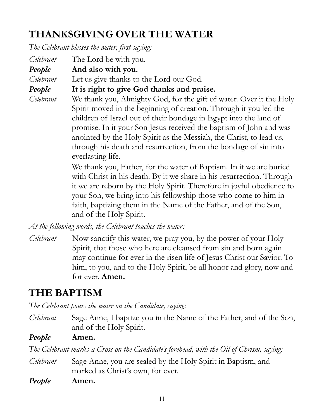## **THANKSGIVING OVER THE WATER**

*The Celebrant blesses the water, first saying:*

*Celebrant* The Lord be with you. *People* **And also with you.** *Celebrant* Let us give thanks to the Lord our God. *People* **It is right to give God thanks and praise.**

*Celebrant* We thank you, Almighty God, for the gift of water. Over it the Holy Spirit moved in the beginning of creation. Through it you led the children of Israel out of their bondage in Egypt into the land of promise. In it your Son Jesus received the baptism of John and was anointed by the Holy Spirit as the Messiah, the Christ, to lead us, through his death and resurrection, from the bondage of sin into everlasting life.

> We thank you, Father, for the water of Baptism. In it we are buried with Christ in his death. By it we share in his resurrection. Through it we are reborn by the Holy Spirit. Therefore in joyful obedience to your Son, we bring into his fellowship those who come to him in faith, baptizing them in the Name of the Father, and of the Son, and of the Holy Spirit.

*At the following words, the Celebrant touches the water:*

*Celebrant* Now sanctify this water, we pray you, by the power of your Holy Spirit, that those who here are cleansed from sin and born again may continue for ever in the risen life of Jesus Christ our Savior. To him, to you, and to the Holy Spirit, be all honor and glory, now and for ever. **Amen.**

### **THE BAPTISM**

*The Celebrant pours the water on the Candidate, saying:*

*Celebrant* Sage Anne, I baptize you in the Name of the Father, and of the Son, and of the Holy Spirit.

*People* **Amen.**

*The Celebrant marks a Cross on the Candidate's forehead, with the Oil of Chrism, saying:*

- *Celebrant* Sage Anne, you are sealed by the Holy Spirit in Baptism, and marked as Christ's own, for ever.
- *People* **Amen.**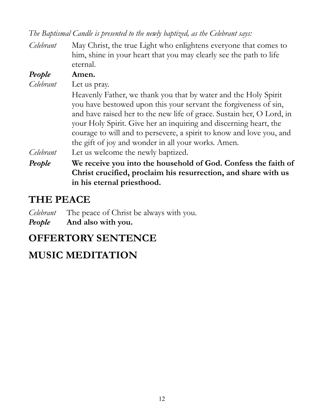*The Baptismal Candle is presented to the newly baptized, as the Celebrant says:*

*Celebrant* May Christ, the true Light who enlightens everyone that comes to him, shine in your heart that you may clearly see the path to life eternal.

| People    | Amen.                                                                 |
|-----------|-----------------------------------------------------------------------|
| Celebrant | Let us pray.                                                          |
|           | Heavenly Father, we thank you that by water and the Holy Spirit       |
|           | you have bestowed upon this your servant the forgiveness of sin,      |
|           | and have raised her to the new life of grace. Sustain her, O Lord, in |
|           | your Holy Spirit. Give her an inquiring and discerning heart, the     |
|           | courage to will and to persevere, a spirit to know and love you, and  |
|           | the gift of joy and wonder in all your works. Amen.                   |
| Celebrant | Let us welcome the newly baptized.                                    |
| People    | We receive you into the household of God. Confess the faith of        |
|           | Christ crucified, proclaim his resurrection, and share with us        |

#### **THE PEACE**

*Celebrant* The peace of Christ be always with you. *People* **And also with you.**

**in his eternal priesthood.**

#### **OFFERTORY SENTENCE**

### **MUSIC MEDITATION**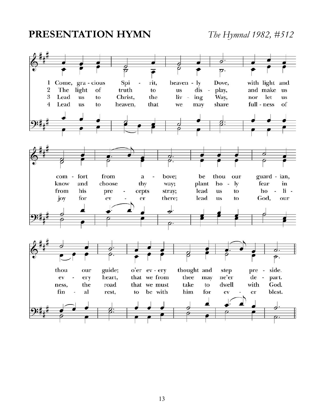#### **PRESENTATION HYMN** *The Hymnal 1982, #512*

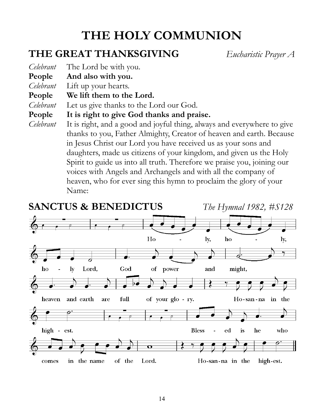# **THE HOLY COMMUNION**

#### **THE GREAT THANKSGIVING** *Eucharistic Prayer A*

*Celebrant* The Lord be with you.

**People And also with you.**

*Celebrant* Lift up your hearts.

**People We lift them to the Lord.**

*Celebrant* Let us give thanks to the Lord our God.

**People It is right to give God thanks and praise.**

*Celebrant* It is right, and a good and joyful thing, always and everywhere to give thanks to you, Father Almighty, Creator of heaven and earth. Because in Jesus Christ our Lord you have received us as your sons and daughters, made us citizens of your kingdom, and given us the Holy Spirit to guide us into all truth. Therefore we praise you, joining our voices with Angels and Archangels and with all the company of heaven, who for ever sing this hymn to proclaim the glory of your Name:

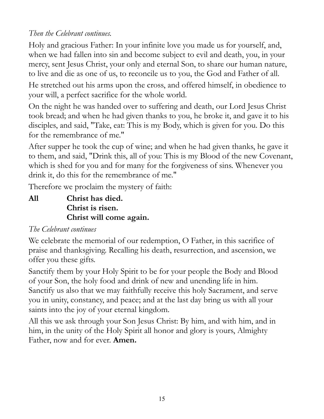#### *Then the Celebrant continues.*

Holy and gracious Father: In your infinite love you made us for yourself, and, when we had fallen into sin and become subject to evil and death, you, in your mercy, sent Jesus Christ, your only and eternal Son, to share our human nature, to live and die as one of us, to reconcile us to you, the God and Father of all.

He stretched out his arms upon the cross, and offered himself, in obedience to your will, a perfect sacrifice for the whole world.

On the night he was handed over to suffering and death, our Lord Jesus Christ took bread; and when he had given thanks to you, he broke it, and gave it to his disciples, and said, "Take, eat: This is my Body, which is given for you. Do this for the remembrance of me."

After supper he took the cup of wine; and when he had given thanks, he gave it to them, and said, "Drink this, all of you: This is my Blood of the new Covenant, which is shed for you and for many for the forgiveness of sins. Whenever you drink it, do this for the remembrance of me."

Therefore we proclaim the mystery of faith:

**All Christ has died. Christ is risen. Christ will come again.**

#### *The Celebrant continues*

We celebrate the memorial of our redemption, O Father, in this sacrifice of praise and thanksgiving. Recalling his death, resurrection, and ascension, we offer you these gifts.

Sanctify them by your Holy Spirit to be for your people the Body and Blood of your Son, the holy food and drink of new and unending life in him. Sanctify us also that we may faithfully receive this holy Sacrament, and serve you in unity, constancy, and peace; and at the last day bring us with all your saints into the joy of your eternal kingdom.

All this we ask through your Son Jesus Christ: By him, and with him, and in him, in the unity of the Holy Spirit all honor and glory is yours, Almighty Father, now and for ever. **Amen.**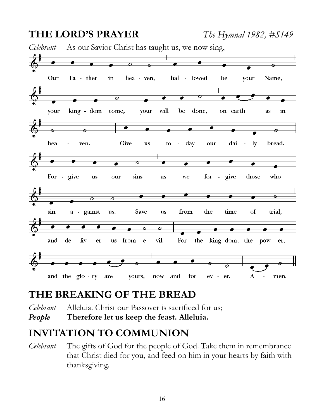

#### **THE BREAKING OF THE BREAD**

*Celebrant* Alleluia. Christ our Passover is sacrificed for us; *People* **Therefore let us keep the feast. Alleluia.**

#### **INVITATION TO COMMUNION**

*Celebrant* The gifts of God for the people of God. Take them in remembrance that Christ died for you, and feed on him in your hearts by faith with thanksgiving.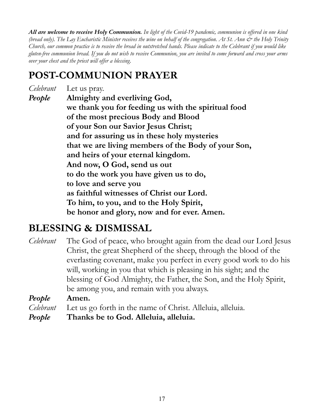*All are welcome to receive Holy Communion. In light of the Covid-19 pandemic, communion is offered in one kind (bread only). The Lay Eucharistic Minister receives the wine on behalf of the congregation. At St. Ann & the Holy Trinity Church, our common practice is to receive the bread in outstretched hands. Please indicate to the Celebrant if you would like gluten-free communion bread. If you do not wish to receive Communion, you are invited to come forward and cross your arms over your chest and the priest will offer a blessing.*

#### **POST-COMMUNION PRAYER**

*Celebrant* Let us pray. *People* **Almighty and everliving God, we thank you for feeding us with the spiritual food of the most precious Body and Blood of your Son our Savior Jesus Christ; and for assuring us in these holy mysteries that we are living members of the Body of your Son, and heirs of your eternal kingdom. And now, O God, send us out to do the work you have given us to do, to love and serve you as faithful witnesses of Christ our Lord. To him, to you, and to the Holy Spirit, be honor and glory, now and for ever. Amen.**

#### **BLESSING & DISMISSAL**

*Celebrant* The God of peace, who brought again from the dead our Lord Jesus Christ, the great Shepherd of the sheep, through the blood of the everlasting covenant, make you perfect in every good work to do his will, working in you that which is pleasing in his sight; and the blessing of God Almighty, the Father, the Son, and the Holy Spirit, be among you, and remain with you always.

*People* **Amen.**

*Celebrant* Let us go forth in the name of Christ. Alleluia, alleluia.

*People* **Thanks be to God. Alleluia, alleluia.**